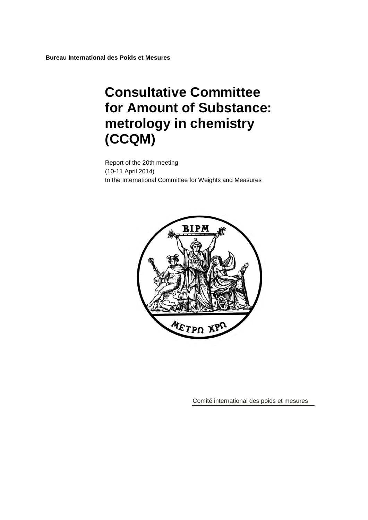**Bureau International des Poids et Mesures**

# **Consultative Committee for Amount of Substance: metrology in chemistry (CCQM)**

Report of the 20th meeting (10-11 April 2014) to the International Committee for Weights and Measures



Comité international des poids et mesures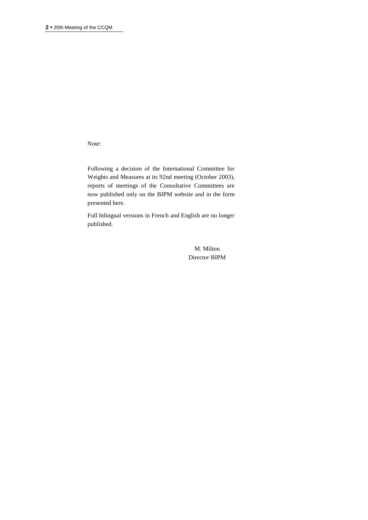Note:

Following a decision of the International Committee for Weights and Measures at its 92nd meeting (October 2003), reports of meetings of the Consultative Committees are now published only on the BIPM website and in the form presented here.

Full bilingual versions in French and English are no longer published.

> M. Milton Director BIPM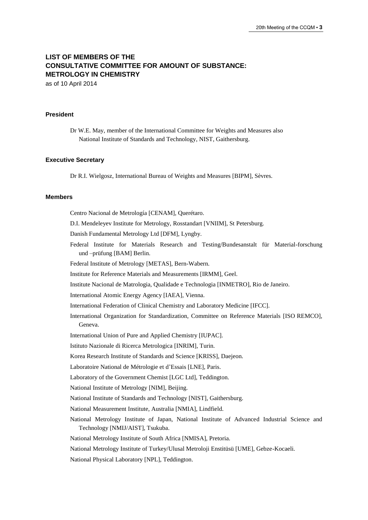# **LIST OF MEMBERS OF THE CONSULTATIVE COMMITTEE FOR AMOUNT OF SUBSTANCE: METROLOGY IN CHEMISTRY**

as of 10 April 2014

#### **President**

Dr W.E. May, member of the International Committee for Weights and Measures also National Institute of Standards and Technology, NIST, Gaithersburg.

#### **Executive Secretary**

Dr R.I. Wielgosz, International Bureau of Weights and Measures [BIPM], Sèvres.

#### **Members**

Centro Nacional de Metrología [CENAM], Querétaro. D.I. Mendeleyev Institute for Metrology, Rosstandart [VNIIM], St Petersburg. Danish Fundamental Metrology Ltd [DFM], Lyngby. Federal Institute for Materials Research and Testing/Bundesanstalt für Material-forschung und –prüfung [BAM] Berlin. Federal Institute of Metrology [METAS], Bern-Wabern. Institute for Reference Materials and Measurements [IRMM], Geel. Institute Nacional de Matrologia, Qualidade e Technologia [INMETRO], Rio de Janeiro. International Atomic Energy Agency [IAEA], Vienna. International Federation of Clinical Chemistry and Laboratory Medicine [IFCC]. International Organization for Standardization, Committee on Reference Materials [ISO REMCO], Geneva. International Union of Pure and Applied Chemistry [IUPAC]. Istituto Nazionale di Ricerca Metrologica [INRIM], Turin. Korea Research Institute of Standards and Science [KRISS], Daejeon. Laboratoire National de Métrologie et d'Essais [LNE], Paris. Laboratory of the Government Chemist [LGC Ltd], Teddington. National Institute of Metrology [NIM], Beijing. National Institute of Standards and Technology [NIST], Gaithersburg. National Measurement Institute, Australia [NMIA], Lindfield. National Metrology Institute of Japan, National Institute of Advanced Industrial Science and Technology [NMIJ/AIST], Tsukuba. National Metrology Institute of South Africa [NMISA], Pretoria. National Metrology Institute of Turkey/Ulusal Metroloji Enstitüsü [UME], Gebze-Kocaeli. National Physical Laboratory [NPL], Teddington.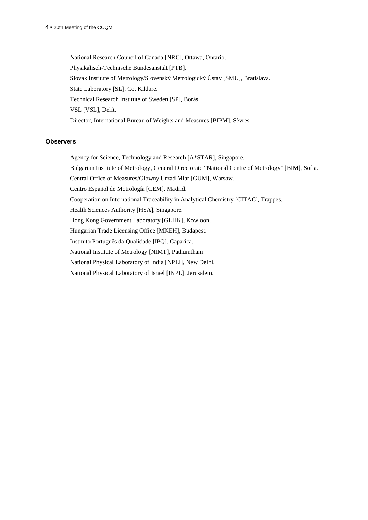National Research Council of Canada [NRC], Ottawa, Ontario. Physikalisch-Technische Bundesanstalt [PTB]. Slovak Institute of Metrology/Slovenský Metrologický Ústav [SMU], Bratislava. State Laboratory [SL], Co. Kildare. Technical Research Institute of Sweden [SP], Borås. VSL [VSL], Delft. Director, International Bureau of Weights and Measures [BIPM], Sèvres.

#### **Observers**

Agency for Science, Technology and Research [A\*STAR], Singapore.

Bulgarian Institute of Metrology, General Directorate "National Centre of Metrology" [BIM], Sofia.

Central Office of Measures/Glόwny Urzad Miar [GUM], Warsaw.

Centro Español de Metrología [CEM], Madrid.

Cooperation on International Traceability in Analytical Chemistry [CITAC], Trappes.

Health Sciences Authority [HSA], Singapore.

Hong Kong Government Laboratory [GLHK], Kowloon.

Hungarian Trade Licensing Office [MKEH], Budapest.

Instituto Português da Qualidade [IPQ], Caparica.

National Institute of Metrology [NIMT], Pathumthani.

National Physical Laboratory of India [NPLI], New Delhi.

National Physical Laboratory of Israel [INPL], Jerusalem.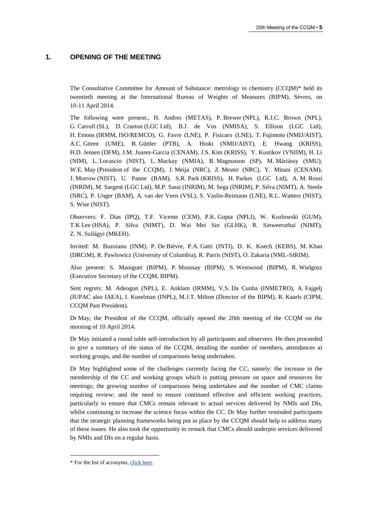## **1. OPENING OF THE MEETING**

The Consultative Committee for Amount of Substance: metrology in chemistry (CCQM)\* held its twentieth meeting at the International Bureau of Weights of Measures (BIPM), Sèvres, on 10-11 April 2014.

The following were present:, H. Andres (METAS), P. Brewer (NPL), R.J.C. Brown (NPL), G. Carroll (SL), D. Craston (LGC Ltd), B.J. de Vos (NMISA), S. Ellison (LGC Ltd), H. Emons (IRMM, ISO/REMCO), G. Favre (LNE), P. Fisicaro (LNE), T. Fujimoto (NMIJ/AIST), A.C. Gören (UME), B. Güttler (PTB), A. Hioki (NMIJ/AIST), E. Hwang (KRISS), H.D. Jensen (DFM), J.M. Juarez-Garcia (CENAM), J.S. Kim (KRISS), Y. Kustikov (VNIIM), H. Li (NIM), L. Locascio (NIST), L. Mackay (NMIA), B. Magnusson (SP), M. Máriássy (SMU), W.E. May (President of the CCQM), J. Meija (NRC), Z. Mester (NRC), Y. Mitani (CENAM), J. Morrow (NIST), U. Panne (BAM), S.R. Park (KRISS), H. Parkes (LGC Ltd), A. M. Rossi (INRIM), M. Sargent (LGC Ltd), M.P. Sassi (INRIM), M. Sega (INRIM), P. Silva (NIMT), A. Steele (NRC), P. Unger (BAM), A. van der Veen (VSL), S. Vaslin-Reimann (LNE), R.L. Watters (NIST), S. Wise (NIST).

Observers: F. Dias (IPQ), T.F. Vicente (CEM), P.K. Gupta (NPLI), W. Kozlowski (GUM), T.K Lee (HSA), P. Silva (NIMT), D. Wai Mei Sin (GLHK), R. Sinweeruthai (NIMT), Z. N. Szilágyi (MKEH).

Invited: M. Buzoianu (INM), P. De Bièvre, P.A. Gatti (INTI), D. K. Koech (KEBS), M. Khan (DRCiM), R. Pawlowicz (University of Columbia), R. Parris (NIST), O. Zakaria (NML-SIRIM).

Also present: S. Maniguet (BIPM), P. Moussay (BIPM), S. Westwood (BIPM), R. Wielgosz (Executive Secretary of the CCQM, BIPM).

Sent regrets: M. Adeogun (NPL), E. Anklam (IRMM), V.S. Da Cunha (INMETRO), A. Fajgelj (IUPAC also IAEA), I. Kuselman (INPL), M.J.T. Milton (Director of the BIPM), R. Kaarls (CIPM, CCQM Past President).

Dr May, the President of the CCQM, officially opened the 20th meeting of the CCQM on the morning of 10 April 2014.

Dr May initiated a round table self-introduction by all participants and observers. He then proceeded to give a summary of the status of the CCQM, detailing the number of members, attendances at working groups, and the number of comparisons being undertaken.

Dr May highlighted some of the challenges currently facing the CC, namely: the increase in the membership of the CC and working groups which is putting pressure on space and resources for meetings; the growing number of comparisons being undertaken and the number of CMC claims requiring review; and the need to ensure continued effective and efficient working practices, particularly to ensure that CMCs remain relevant to actual services delivered by NMIs and DIs, whilst continuing to increase the science focus within the CC. Dr May further reminded participants that the strategic planning frameworks being put in place by the CCQM should help to address many of these issues. He also took the opportunity to remark that CMCs should underpin services delivered by NMIs and DIs on a regular basis.

 $\overline{a}$ 

<sup>\*</sup> For the list of acronyms, [click here.](https://www.bipm.org/en/practical_info/acronyms.html)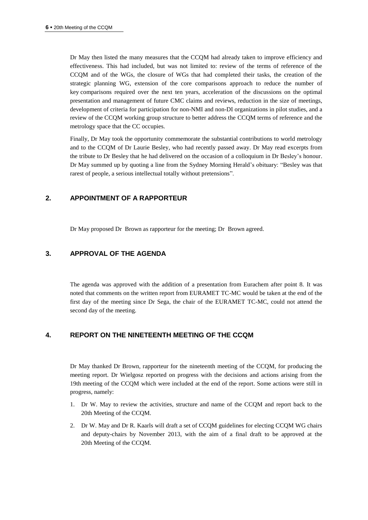Dr May then listed the many measures that the CCQM had already taken to improve efficiency and effectiveness. This had included, but was not limited to: review of the terms of reference of the CCQM and of the WGs, the closure of WGs that had completed their tasks, the creation of the strategic planning WG, extension of the core comparisons approach to reduce the number of key comparisons required over the next ten years, acceleration of the discussions on the optimal presentation and management of future CMC claims and reviews, reduction in the size of meetings, development of criteria for participation for non-NMI and non-DI organizations in pilot studies, and a review of the CCQM working group structure to better address the CCQM terms of reference and the metrology space that the CC occupies.

Finally, Dr May took the opportunity commemorate the substantial contributions to world metrology and to the CCQM of Dr Laurie Besley, who had recently passed away. Dr May read excerpts from the tribute to Dr Besley that he had delivered on the occasion of a colloquium in Dr Besley's honour. Dr May summed up by quoting a line from the Sydney Morning Herald's obituary: "Besley was that rarest of people, a serious intellectual totally without pretensions".

## **2. APPOINTMENT OF A RAPPORTEUR**

Dr May proposed Dr Brown as rapporteur for the meeting; Dr Brown agreed.

# **3. APPROVAL OF THE AGENDA**

The agenda was approved with the addition of a presentation from Eurachem after point 8. It was noted that comments on the written report from EURAMET TC-MC would be taken at the end of the first day of the meeting since Dr Sega, the chair of the EURAMET TC-MC, could not attend the second day of the meeting.

# **4. REPORT ON THE NINETEENTH MEETING OF THE CCQM**

Dr May thanked Dr Brown, rapporteur for the nineteenth meeting of the CCQM, for producing the meeting report. Dr Wielgosz reported on progress with the decisions and actions arising from the 19th meeting of the CCQM which were included at the end of the report. Some actions were still in progress, namely:

- 1. Dr W. May to review the activities, structure and name of the CCQM and report back to the 20th Meeting of the CCQM.
- 2. Dr W. May and Dr R. Kaarls will draft a set of CCQM guidelines for electing CCQM WG chairs and deputy-chairs by November 2013, with the aim of a final draft to be approved at the 20th Meeting of the CCQM.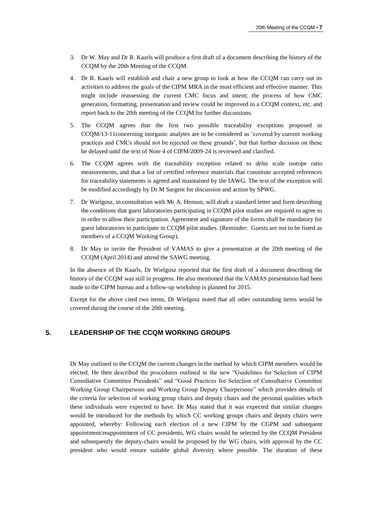- 3. Dr W. May and Dr R. Kaarls will produce a first draft of a document describing the history of the CCQM by the 20th Meeting of the CCQM.
- 4. Dr R. Kaarls will establish and chair a new group to look at how the CCQM can carry out its activities to address the goals of the CIPM MRA in the most efficient and effective manner. This might include reassessing the current CMC focus and intent; the process of how CMC generation, formatting, presentation and review could be improved in a CCQM context, etc. and report back to the 20th meeting of the CCQM for further discussions.
- 5. The CCQM agrees that the first two possible traceability exceptions proposed in CCQM/13-11concerning inorganic analytes are to be considered as 'covered by current working practices and CMCs should not be rejected on these grounds', but that further decision on these be delayed until the text of Note 4 of CIPM/2009-24 is reviewed and clarified.
- 6. The CCQM agrees with the traceability exception related to *delta* scale isotope ratio measurements, and that a list of certified reference materials that constitute accepted references for traceability statements is agreed and maintained by the IAWG. The text of the exception will be modified accordingly by Dr M Sargent for discussion and action by SPWG.
- 7. Dr Wielgosz, in consultation with Mr A. Henson, will draft a standard letter and form describing the conditions that guest laboratories participating in CCQM pilot studies are required to agree to in order to allow their participation. Agreement and signature of the forms shall be mandatory for guest laboratories to participate in CCQM pilot studies. (Reminder: Guests are not to be listed as members of a CCQM Working Group).
- 8. Dr May to invite the President of VAMAS to give a presentation at the 20th meeting of the CCQM (April 2014) and attend the SAWG meeting.

In the absence of Dr Kaarls, Dr Wielgosz reported that the first draft of a document describing the history of the CCQM was still in progress. He also mentioned that the VAMAS presentation had been made to the CIPM bureau and a follow-up workshop is planned for 2015.

Except for the above cited two items, Dr Wielgosz noted that all other outstanding items would be covered during the course of the 20th meeting.

# **5. LEADERSHIP OF THE CCQM WORKING GROUPS**

Dr May outlined to the CCQM the current changes in the method by which CIPM members would be elected. He then described the procedures outlined in the new "Guidelines for Selection of CIPM Consultative Committee Presidents" and "Good Practices for Selection of Consultative Committee Working Group Chairpersons and Working Group Deputy Chairpersons" which provides details of the criteria for selection of working group chairs and deputy chairs and the personal qualities which these individuals were expected to have. Dr May stated that it was expected that similar changes would be introduced for the methods by which CC working groups chairs and deputy chairs were appointed, whereby: Following each election of a new CIPM by the CGPM and subsequent appointment/reappointment of CC presidents, WG chairs would be selected by the CCQM President and subsequently the deputy-chairs would be proposed by the WG chairs, with approval by the CC president who would ensure suitable global diversity where possible. The duration of these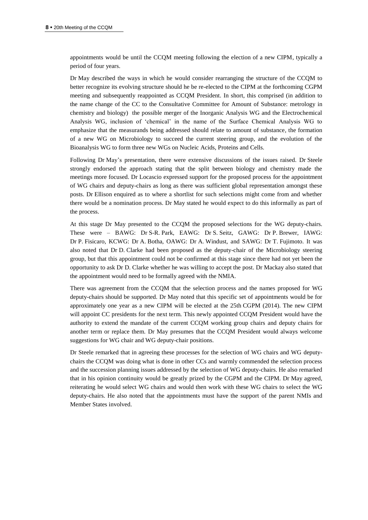appointments would be until the CCQM meeting following the election of a new CIPM, typically a period of four years.

Dr May described the ways in which he would consider rearranging the structure of the CCQM to better recognize its evolving structure should he be re-elected to the CIPM at the forthcoming CGPM meeting and subsequently reappointed as CCQM President. In short, this comprised (in addition to the name change of the CC to the Consultative Committee for Amount of Substance: metrology in chemistry and biology) the possible merger of the Inorganic Analysis WG and the Electrochemical Analysis WG, inclusion of 'chemical' in the name of the Surface Chemical Analysis WG to emphasize that the measurands being addressed should relate to amount of substance, the formation of a new WG on Microbiology to succeed the current steering group, and the evolution of the Bioanalysis WG to form three new WGs on Nucleic Acids, Proteins and Cells.

Following Dr May's presentation, there were extensive discussions of the issues raised. Dr Steele strongly endorsed the approach stating that the split between biology and chemistry made the meetings more focused. Dr Locascio expressed support for the proposed process for the appointment of WG chairs and deputy-chairs as long as there was sufficient global representation amongst these posts. Dr Ellison enquired as to where a shortlist for such selections might come from and whether there would be a nomination process. Dr May stated he would expect to do this informally as part of the process.

At this stage Dr May presented to the CCQM the proposed selections for the WG deputy-chairs. These were – BAWG: Dr S-R. Park, EAWG: Dr S. Seitz, GAWG: Dr P. Brewer, IAWG: Dr P. Fisicaro, KCWG: Dr A. Botha, OAWG: Dr A. Windust, and SAWG: Dr T. Fujimoto. It was also noted that Dr D. Clarke had been proposed as the deputy-chair of the Microbiology steering group, but that this appointment could not be confirmed at this stage since there had not yet been the opportunity to ask Dr D. Clarke whether he was willing to accept the post. Dr Mackay also stated that the appointment would need to be formally agreed with the NMIA.

There was agreement from the CCQM that the selection process and the names proposed for WG deputy-chairs should be supported. Dr May noted that this specific set of appointments would be for approximately one year as a new CIPM will be elected at the 25th CGPM (2014). The new CIPM will appoint CC presidents for the next term. This newly appointed CCQM President would have the authority to extend the mandate of the current CCQM working group chairs and deputy chairs for another term or replace them. Dr May presumes that the CCQM President would always welcome suggestions for WG chair and WG deputy-chair positions.

Dr Steele remarked that in agreeing these processes for the selection of WG chairs and WG deputychairs the CCQM was doing what is done in other CCs and warmly commended the selection process and the succession planning issues addressed by the selection of WG deputy-chairs. He also remarked that in his opinion continuity would be greatly prized by the CGPM and the CIPM. Dr May agreed, reiterating he would select WG chairs and would then work with these WG chairs to select the WG deputy-chairs. He also noted that the appointments must have the support of the parent NMIs and Member States involved.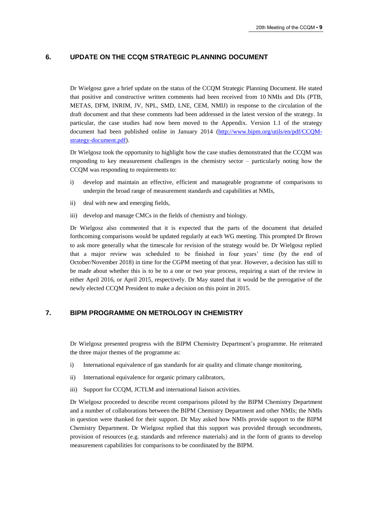## **6. UPDATE ON THE CCQM STRATEGIC PLANNING DOCUMENT**

Dr Wielgosz gave a brief update on the status of the CCQM Strategic Planning Document. He stated that positive and constructive written comments had been received from 10 NMIs and DIs (PTB, METAS, DFM, INRIM, JV, NPL, SMD, LNE, CEM, NMIJ) in response to the circulation of the draft document and that these comments had been addressed in the latest version of the strategy. In particular, the case studies had now been moved to the Appendix. Version 1.1 of the strategy document had been published online in January 2014 [\(http://www.bipm.org/utils/en/pdf/CCQM](https://www.bipm.org/utils/en/pdf/CCQM-strategy-document.pdf)[strategy-document.pdf\)](https://www.bipm.org/utils/en/pdf/CCQM-strategy-document.pdf).

Dr Wielgosz took the opportunity to highlight how the case studies demonstrated that the CCQM was responding to key measurement challenges in the chemistry sector – particularly noting how the CCQM was responding to requirements to:

- i) develop and maintain an effective, efficient and manageable programme of comparisons to underpin the broad range of measurement standards and capabilities at NMIs,
- ii) deal with new and emerging fields,
- iii) develop and manage CMCs in the fields of chemistry and biology.

Dr Wielgosz also commented that it is expected that the parts of the document that detailed forthcoming comparisons would be updated regularly at each WG meeting. This prompted Dr Brown to ask more generally what the timescale for revision of the strategy would be. Dr Wielgosz replied that a major review was scheduled to be finished in four years' time (by the end of October/November 2018) in time for the CGPM meeting of that year. However, a decision has still to be made about whether this is to be to a one or two year process, requiring a start of the review in either April 2016, or April 2015, respectively. Dr May stated that it would be the prerogative of the newly elected CCQM President to make a decision on this point in 2015.

## **7. BIPM PROGRAMME ON METROLOGY IN CHEMISTRY**

Dr Wielgosz presented progress with the BIPM Chemistry Department's programme. He reiterated the three major themes of the programme as:

- i) International equivalence of gas standards for air quality and climate change monitoring,
- ii) International equivalence for organic primary calibrators,
- iii) Support for CCQM, JCTLM and international liaison activities.

Dr Wielgosz proceeded to describe recent comparisons piloted by the BIPM Chemistry Department and a number of collaborations between the BIPM Chemistry Department and other NMIs; the NMIs in question were thanked for their support. Dr May asked how NMIs provide support to the BIPM Chemistry Department. Dr Wielgosz replied that this support was provided through secondments, provision of resources (e.g. standards and reference materials) and in the form of grants to develop measurement capabilities for comparisons to be coordinated by the BIPM.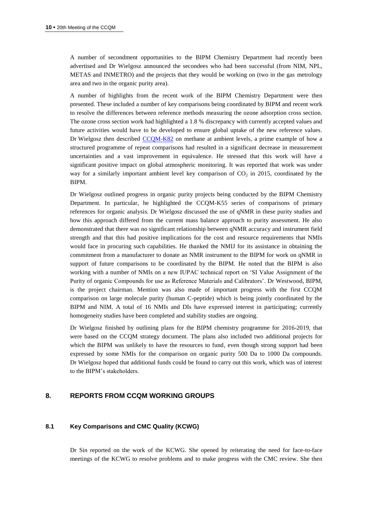A number of secondment opportunities to the BIPM Chemistry Department had recently been advertised and Dr Wielgosz announced the secondees who had been successful (from NIM, NPL, METAS and INMETRO) and the projects that they would be working on (two in the gas metrology area and two in the organic purity area).

A number of highlights from the recent work of the BIPM Chemistry Department were then presented. These included a number of key comparisons being coordinated by BIPM and recent work to resolve the differences between reference methods measuring the ozone adsorption cross section. The ozone cross section work had highlighted a 1.8 % discrepancy with currently accepted values and future activities would have to be developed to ensure global uptake of the new reference values. Dr Wielgosz then described [CCQM-K82](http://kcdb.bipm.org/appendixB/KCDB_ApB_info.asp?cmp_idy=1062&cmp_cod=CCQM-K82&prov=exalead) on methane at ambient levels, a prime example of how a structured programme of repeat comparisons had resulted in a significant decrease in measurement uncertainties and a vast improvement in equivalence. He stressed that this work will have a significant positive impact on global atmospheric monitoring. It was reported that work was under way for a similarly important ambient level key comparison of  $CO<sub>2</sub>$  in 2015, coordinated by the BIPM.

Dr Wielgosz outlined progress in organic purity projects being conducted by the BIPM Chemistry Department. In particular, he highlighted the CCQM-K55 series of comparisons of primary references for organic analysis. Dr Wielgosz discussed the use of qNMR in these purity studies and how this approach differed from the current mass balance approach to purity assessment. He also demonstrated that there was no significant relationship between qNMR accuracy and instrument field strength and that this had positive implications for the cost and resource requirements that NMIs would face in procuring such capabilities. He thanked the NMIJ for its assistance in obtaining the commitment from a manufacturer to donate an NMR instrument to the BIPM for work on qNMR in support of future comparisons to be coordinated by the BIPM. He noted that the BIPM is also working with a number of NMIs on a new IUPAC technical report on 'SI Value Assignment of the Purity of organic Compounds for use as Reference Materials and Calibrators'. Dr Westwood, BIPM, is the project chairman. Mention was also made of important progress with the first CCQM comparison on large molecule purity (human C-peptide) which is being jointly coordinated by the BIPM and NIM. A total of 16 NMIs and DIs have expressed interest in participating; currently homogeneity studies have been completed and stability studies are ongoing.

Dr Wielgosz finished by outlining plans for the BIPM chemistry programme for 2016-2019, that were based on the CCQM strategy document. The plans also included two additional projects for which the BIPM was unlikely to have the resources to fund, even though strong support had been expressed by some NMIs for the comparison on organic purity 500 Da to 1000 Da compounds. Dr Wielgosz hoped that additional funds could be found to carry out this work, which was of interest to the BIPM's stakeholders.

# **8. REPORTS FROM CCQM WORKING GROUPS**

#### **8.1 Key Comparisons and CMC Quality (KCWG)**

Dr Sin reported on the work of the KCWG. She opened by reiterating the need for face-to-face meetings of the KCWG to resolve problems and to make progress with the CMC review. She then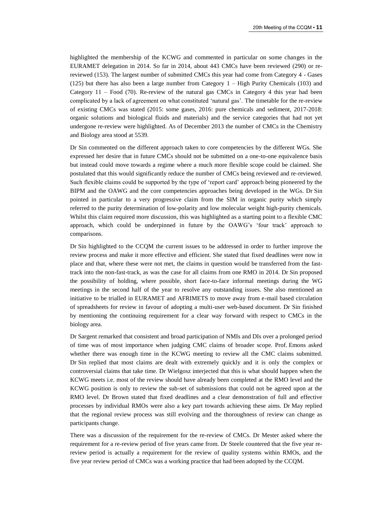highlighted the membership of the KCWG and commented in particular on some changes in the EURAMET delegation in 2014. So far in 2014, about 443 CMCs have been reviewed (290) or rereviewed (153). The largest number of submitted CMCs this year had come from Category 4 - Gases (125) but there has also been a large number from Category 1 – High Purity Chemicals (103) and Category 11 – Food (70). Re-review of the natural gas CMCs in Category 4 this year had been complicated by a lack of agreement on what constituted 'natural gas'. The timetable for the re-review of existing CMCs was stated (2015: some gases, 2016: pure chemicals and sediment, 2017-2018: organic solutions and biological fluids and materials) and the service categories that had not yet undergone re-review were highlighted. As of December 2013 the number of CMCs in the Chemistry and Biology area stood at 5539.

Dr Sin commented on the different approach taken to core competencies by the different WGs. She expressed her desire that in future CMCs should not be submitted on a one-to-one equivalence basis but instead could move towards a regime where a much more flexible scope could be claimed. She postulated that this would significantly reduce the number of CMCs being reviewed and re-reviewed. Such flexible claims could be supported by the type of 'report card' approach being pioneered by the BIPM and the OAWG and the core competencies approaches being developed in the WGs. Dr Sin pointed in particular to a very progressive claim from the SIM in organic purity which simply referred to the purity determination of low-polarity and low molecular weight high-purity chemicals. Whilst this claim required more discussion, this was highlighted as a starting point to a flexible CMC approach, which could be underpinned in future by the OAWG's 'four track' approach to comparisons.

Dr Sin highlighted to the CCQM the current issues to be addressed in order to further improve the review process and make it more effective and efficient. She stated that fixed deadlines were now in place and that, where these were not met, the claims in question would be transferred from the fasttrack into the non-fast-track, as was the case for all claims from one RMO in 2014. Dr Sin proposed the possibility of holding, where possible, short face-to-face informal meetings during the WG meetings in the second half of the year to resolve any outstanding issues. She also mentioned an initiative to be trialled in EURAMET and AFRIMETS to move away from e-mail based circulation of spreadsheets for review in favour of adopting a multi-user web-based document. Dr Sin finished by mentioning the continuing requirement for a clear way forward with respect to CMCs in the biology area.

Dr Sargent remarked that consistent and broad participation of NMIs and DIs over a prolonged period of time was of most importance when judging CMC claims of broader scope. Prof. Emons asked whether there was enough time in the KCWG meeting to review all the CMC claims submitted. Dr Sin replied that most claims are dealt with extremely quickly and it is only the complex or controversial claims that take time. Dr Wielgosz interjected that this is what should happen when the KCWG meets i.e. most of the review should have already been completed at the RMO level and the KCWG position is only to review the sub-set of submissions that could not be agreed upon at the RMO level. Dr Brown stated that fixed deadlines and a clear demonstration of full and effective processes by individual RMOs were also a key part towards achieving these aims. Dr May replied that the regional review process was still evolving and the thoroughness of review can change as participants change.

There was a discussion of the requirement for the re-review of CMCs. Dr Mester asked where the requirement for a re-review period of five years came from. Dr Steele countered that the five year rereview period is actually a requirement for the review of quality systems within RMOs, and the five year review period of CMCs was a working practice that had been adopted by the CCQM.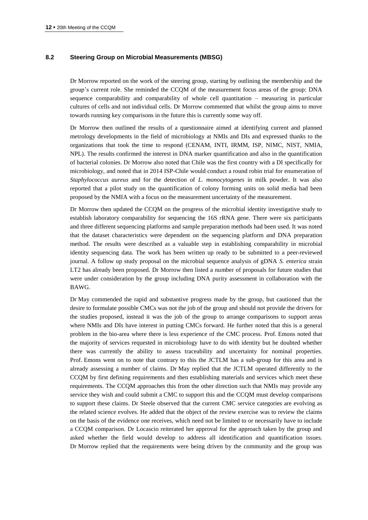#### **8.2 Steering Group on Microbial Measurements (MBSG)**

Dr Morrow reported on the work of the steering group, starting by outlining the membership and the group's current role. She reminded the CCQM of the measurement focus areas of the group: DNA sequence comparability and comparability of whole cell quantitation – measuring in particular cultures of cells and not individual cells. Dr Morrow commented that whilst the group aims to move towards running key comparisons in the future this is currently some way off.

Dr Morrow then outlined the results of a questionnaire aimed at identifying current and planned metrology developments in the field of microbiology at NMIs and DIs and expressed thanks to the organizations that took the time to respond (CENAM, INTI, IRMM, ISP, NIMC, NIST, NMIA, NPL). The results confirmed the interest in DNA marker quantification and also in the quantification of bacterial colonies. Dr Morrow also noted that Chile was the first country with a DI specifically for microbiology, and noted that in 2014 ISP-Chile would conduct a round robin trial for enumeration of *Staphylococcus aureus* and for the detection of *L. monocytogenes* in milk powder. It was also reported that a pilot study on the quantification of colony forming units on solid media had been proposed by the NMIA with a focus on the measurement uncertainty of the measurement.

Dr Morrow then updated the CCQM on the progress of the microbial identity investigative study to establish laboratory comparability for sequencing the 16S rRNA gene. There were six participants and three different sequencing platforms and sample preparation methods had been used. It was noted that the dataset characteristics were dependent on the sequencing platform and DNA preparation method. The results were described as a valuable step in establishing comparability in microbial identity sequencing data. The work has been written up ready to be submitted to a peer-reviewed journal. A follow up study proposal on the microbial sequence analysis of gDNA *S. enterica* strain LT2 has already been proposed. Dr Morrow then listed a number of proposals for future studies that were under consideration by the group including DNA purity assessment in collaboration with the BAWG.

Dr May commended the rapid and substantive progress made by the group, but cautioned that the desire to formulate possible CMCs was not the job of the group and should not provide the drivers for the studies proposed, instead it was the job of the group to arrange comparisons to support areas where NMIs and DIs have interest in putting CMCs forward. He further noted that this is a general problem in the bio-area where there is less experience of the CMC process. Prof. Emons noted that the majority of services requested in microbiology have to do with identity but he doubted whether there was currently the ability to assess traceability and uncertainty for nominal properties. Prof. Emons went on to note that contrary to this the JCTLM has a sub-group for this area and is already assessing a number of claims. Dr May replied that the JCTLM operated differently to the CCQM by first defining requirements and then establishing materials and services which meet these requirements. The CCQM approaches this from the other direction such that NMIs may provide any service they wish and could submit a CMC to support this and the CCQM must develop comparisons to support these claims. Dr Steele observed that the current CMC service categories are evolving as the related science evolves. He added that the object of the review exercise was to review the claims on the basis of the evidence one receives, which need not be limited to or necessarily have to include a CCQM comparison. Dr Locascio reiterated her approval for the approach taken by the group and asked whether the field would develop to address all identification and quantification issues. Dr Morrow replied that the requirements were being driven by the community and the group was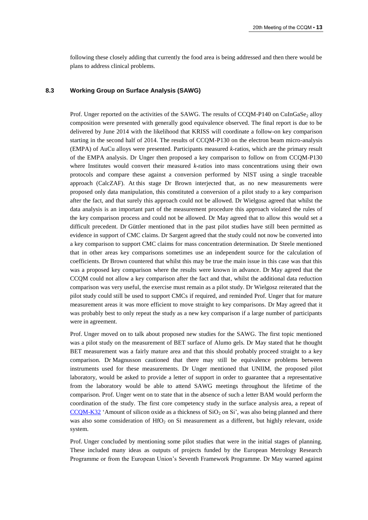following these closely adding that currently the food area is being addressed and then there would be plans to address clinical problems.

#### **8.3 Working Group on Surface Analysis (SAWG)**

Prof. Unger reported on the activities of the SAWG. The results of CCQM-P140 on CuInGaSe, alloy composition were presented with generally good equivalence observed. The final report is due to be delivered by June 2014 with the likelihood that KRISS will coordinate a follow-on key comparison starting in the second half of 2014. The results of CCQM-P130 on the electron beam micro-analysis (EMPA) of AuCu alloys were presented. Participants measured *k*-ratios, which are the primary result of the EMPA analysis. Dr Unger then proposed a key comparison to follow on from CCQM-P130 where Institutes would convert their measured *k*-ratios into mass concentrations using their own protocols and compare these against a conversion performed by NIST using a single traceable approach (CalcZAF). At this stage Dr Brown interjected that, as no new measurements were proposed only data manipulation, this constituted a conversion of a pilot study to a key comparison after the fact, and that surely this approach could not be allowed. Dr Wielgosz agreed that whilst the data analysis is an important part of the measurement procedure this approach violated the rules of the key comparison process and could not be allowed. Dr May agreed that to allow this would set a difficult precedent. Dr Güttler mentioned that in the past pilot studies have still been permitted as evidence in support of CMC claims. Dr Sargent agreed that the study could not now be converted into a key comparison to support CMC claims for mass concentration determination. Dr Steele mentioned that in other areas key comparisons sometimes use an independent source for the calculation of coefficients. Dr Brown countered that whilst this may be true the main issue in this case was that this was a proposed key comparison where the results were known in advance. Dr May agreed that the CCQM could not allow a key comparison after the fact and that, whilst the additional data reduction comparison was very useful, the exercise must remain as a pilot study. Dr Wielgosz reiterated that the pilot study could still be used to support CMCs if required, and reminded Prof. Unger that for mature measurement areas it was more efficient to move straight to key comparisons. Dr May agreed that it was probably best to only repeat the study as a new key comparison if a large number of participants were in agreement.

Prof. Unger moved on to talk about proposed new studies for the SAWG. The first topic mentioned was a pilot study on the measurement of BET surface of Alumo gels. Dr May stated that he thought BET measurement was a fairly mature area and that this should probably proceed straight to a key comparison. Dr Magnusson cautioned that there may still be equivalence problems between instruments used for these measurements. Dr Unger mentioned that UNIIM, the proposed pilot laboratory, would be asked to provide a letter of support in order to guarantee that a representative from the laboratory would be able to attend SAWG meetings throughout the lifetime of the comparison. Prof. Unger went on to state that in the absence of such a letter BAM would perform the coordination of the study. The first core competency study in the surface analysis area, a repeat of  $CCOM-K32$  'Amount of silicon oxide as a thickness of  $SiO<sub>2</sub>$  on Si', was also being planned and there was also some consideration of HfO<sub>2</sub> on Si measurement as a different, but highly relevant, oxide system.

Prof. Unger concluded by mentioning some pilot studies that were in the initial stages of planning. These included many ideas as outputs of projects funded by the European Metrology Research Programme or from the European Union's Seventh Framework Programme. Dr May warned against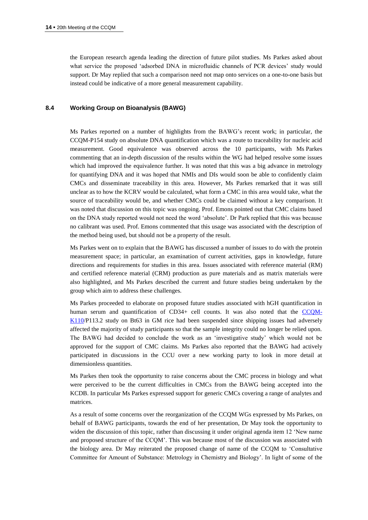the European research agenda leading the direction of future pilot studies. Ms Parkes asked about what service the proposed 'adsorbed DNA in microfluidic channels of PCR devices' study would support. Dr May replied that such a comparison need not map onto services on a one-to-one basis but instead could be indicative of a more general measurement capability.

#### **8.4 Working Group on Bioanalysis (BAWG)**

Ms Parkes reported on a number of highlights from the BAWG's recent work; in particular, the CCQM-P154 study on absolute DNA quantification which was a route to traceability for nucleic acid measurement. Good equivalence was observed across the 10 participants, with Ms Parkes commenting that an in-depth discussion of the results within the WG had helped resolve some issues which had improved the equivalence further. It was noted that this was a big advance in metrology for quantifying DNA and it was hoped that NMIs and DIs would soon be able to confidently claim CMCs and disseminate traceability in this area. However, Ms Parkes remarked that it was still unclear as to how the KCRV would be calculated, what form a CMC in this area would take, what the source of traceability would be, and whether CMCs could be claimed without a key comparison. It was noted that discussion on this topic was ongoing. Prof. Emons pointed out that CMC claims based on the DNA study reported would not need the word 'absolute'. Dr Park replied that this was because no calibrant was used. Prof. Emons commented that this usage was associated with the description of the method being used, but should not be a property of the result.

Ms Parkes went on to explain that the BAWG has discussed a number of issues to do with the protein measurement space; in particular, an examination of current activities, gaps in knowledge, future directions and requirements for studies in this area. Issues associated with reference material (RM) and certified reference material (CRM) production as pure materials and as matrix materials were also highlighted, and Ms Parkes described the current and future studies being undertaken by the group which aim to address these challenges.

Ms Parkes proceeded to elaborate on proposed future studies associated with hGH quantification in human serum and quantification of CD34+ cell counts. It was also noted that the [CCQM-](http://kcdb.bipm.org/appendixB/KCDB_ApB_info.asp?cmp_idy=1256&cmp_cod=CCQM-K110&prov=exalead)[K110/](http://kcdb.bipm.org/appendixB/KCDB_ApB_info.asp?cmp_idy=1256&cmp_cod=CCQM-K110&prov=exalead)P113.2 study on Bt63 in GM rice had been suspended since shipping issues had adversely affected the majority of study participants so that the sample integrity could no longer be relied upon. The BAWG had decided to conclude the work as an 'investigative study' which would not be approved for the support of CMC claims. Ms Parkes also reported that the BAWG had actively participated in discussions in the CCU over a new working party to look in more detail at dimensionless quantities.

Ms Parkes then took the opportunity to raise concerns about the CMC process in biology and what were perceived to be the current difficulties in CMCs from the BAWG being accepted into the KCDB. In particular Ms Parkes expressed support for generic CMCs covering a range of analytes and matrices.

As a result of some concerns over the reorganization of the CCQM WGs expressed by Ms Parkes, on behalf of BAWG participants, towards the end of her presentation, Dr May took the opportunity to widen the discussion of this topic, rather than discussing it under original agenda item 12 'New name and proposed structure of the CCQM'. This was because most of the discussion was associated with the biology area. Dr May reiterated the proposed change of name of the CCQM to 'Consultative Committee for Amount of Substance: Metrology in Chemistry and Biology'. In light of some of the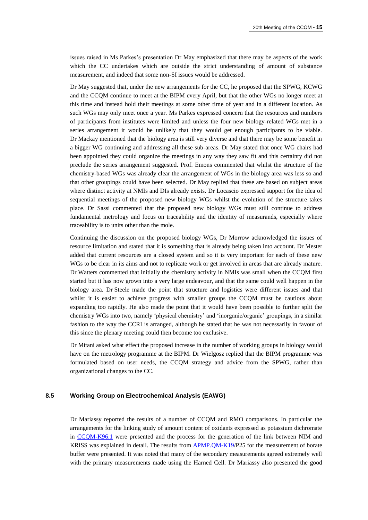issues raised in Ms Parkes's presentation Dr May emphasized that there may be aspects of the work which the CC undertakes which are outside the strict understanding of amount of substance measurement, and indeed that some non-SI issues would be addressed.

Dr May suggested that, under the new arrangements for the CC, he proposed that the SPWG, KCWG and the CCQM continue to meet at the BIPM every April, but that the other WGs no longer meet at this time and instead hold their meetings at some other time of year and in a different location. As such WGs may only meet once a year. Ms Parkes expressed concern that the resources and numbers of participants from institutes were limited and unless the four new biology-related WGs met in a series arrangement it would be unlikely that they would get enough participants to be viable. Dr Mackay mentioned that the biology area is still very diverse and that there may be some benefit in a bigger WG continuing and addressing all these sub-areas. Dr May stated that once WG chairs had been appointed they could organize the meetings in any way they saw fit and this certainty did not preclude the series arrangement suggested. Prof. Emons commented that whilst the structure of the chemistry-based WGs was already clear the arrangement of WGs in the biology area was less so and that other groupings could have been selected. Dr May replied that these are based on subject areas where distinct activity at NMIs and DIs already exists. Dr Locascio expressed support for the idea of sequential meetings of the proposed new biology WGs whilst the evolution of the structure takes place. Dr Sassi commented that the proposed new biology WGs must still continue to address fundamental metrology and focus on traceability and the identity of measurands, especially where traceability is to units other than the mole.

Continuing the discussion on the proposed biology WGs, Dr Morrow acknowledged the issues of resource limitation and stated that it is something that is already being taken into account. Dr Mester added that current resources are a closed system and so it is very important for each of these new WGs to be clear in its aims and not to replicate work or get involved in areas that are already mature. Dr Watters commented that initially the chemistry activity in NMIs was small when the CCQM first started but it has now grown into a very large endeavour, and that the same could well happen in the biology area. Dr Steele made the point that structure and logistics were different issues and that whilst it is easier to achieve progress with smaller groups the CCQM must be cautious about expanding too rapidly. He also made the point that it would have been possible to further split the chemistry WGs into two, namely 'physical chemistry' and 'inorganic/organic' groupings, in a similar fashion to the way the CCRI is arranged, although he stated that he was not necessarily in favour of this since the plenary meeting could then become too exclusive.

Dr Mitani asked what effect the proposed increase in the number of working groups in biology would have on the metrology programme at the BIPM. Dr Wielgosz replied that the BIPM programme was formulated based on user needs, the CCQM strategy and advice from the SPWG, rather than organizational changes to the CC.

#### **8.5 Working Group on Electrochemical Analysis (EAWG)**

Dr Mariassy reported the results of a number of CCQM and RMO comparisons. In particular the arrangements for the linking study of amount content of oxidants expressed as potassium dichromate in [CCQM-K96.1](http://kcdb.bipm.org/appendixB/KCDB_ApB_info.asp?cmp_idy=1341&cmp_cod=CCQM-K96.1&prov=exalead) were presented and the process for the generation of the link between NIM and KRISS was explained in detail. The results from [APMP.QM-K19/](http://kcdb.bipm.org/appendixB/KCDB_ApB_info.asp?cmp_idy=1358&cmp_cod=APMP.QM-K19&prov=exalead)P25 for the measurement of borate buffer were presented. It was noted that many of the secondary measurements agreed extremely well with the primary measurements made using the Harned Cell. Dr Mariassy also presented the good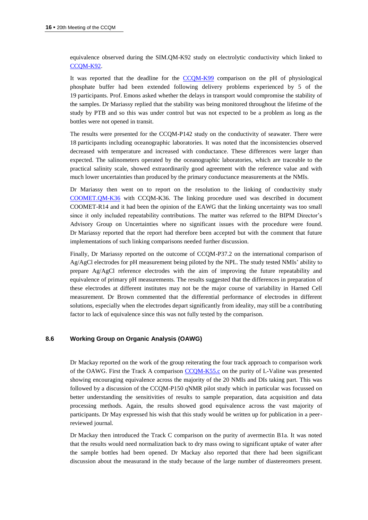equivalence observed during the SIM.QM-K92 study on electrolytic conductivity which linked to CCOM-K92.

It was reported that the deadline for the [CCQM-K99](http://kcdb.bipm.org/appendixB/KCDB_ApB_info.asp?cmp_idy=1151&cmp_cod=CCQM-K99&prov=exalead) comparison on the pH of physiological phosphate buffer had been extended following delivery problems experienced by 5 of the 19 participants. Prof. Emons asked whether the delays in transport would compromise the stability of the samples. Dr Mariassy replied that the stability was being monitored throughout the lifetime of the study by PTB and so this was under control but was not expected to be a problem as long as the bottles were not opened in transit.

The results were presented for the CCQM-P142 study on the conductivity of seawater. There were 18 participants including oceanographic laboratories. It was noted that the inconsistencies observed decreased with temperature and increased with conductance. These differences were larger than expected. The salinometers operated by the oceanographic laboratories, which are traceable to the practical salinity scale, showed extraordinarily good agreement with the reference value and with much lower uncertainties than produced by the primary conductance measurements at the NMIs.

Dr Mariassy then went on to report on the resolution to the linking of conductivity study [COOMET.QM-K36](http://kcdb.bipm.org/appendixB/KCDB_ApB_info.asp?cmp_idy=1144&cmp_cod=COOMET.QM-K36&prov=exalead) with CCQM-K36. The linking procedure used was described in document COOMET-R14 and it had been the opinion of the EAWG that the linking uncertainty was too small since it only included repeatability contributions. The matter was referred to the BIPM Director's Advisory Group on Uncertainties where no significant issues with the procedure were found. Dr Mariassy reported that the report had therefore been accepted but with the comment that future implementations of such linking comparisons needed further discussion.

Finally, Dr Mariassy reported on the outcome of CCQM-P37.2 on the international comparison of Ag/AgCl electrodes for pH measurement being piloted by the NPL. The study tested NMIs' ability to prepare Ag/AgCl reference electrodes with the aim of improving the future repeatability and equivalence of primary pH measurements. The results suggested that the differences in preparation of these electrodes at different institutes may not be the major course of variability in Harned Cell measurement. Dr Brown commented that the differential performance of electrodes in different solutions, especially when the electrodes depart significantly from ideality, may still be a contributing factor to lack of equivalence since this was not fully tested by the comparison.

#### **8.6 Working Group on Organic Analysis (OAWG)**

Dr Mackay reported on the work of the group reiterating the four track approach to comparison work of the OAWG. First the Track A comparison [CCQM-K55.c](http://kcdb.bipm.org/appendixB/KCDB_ApB_info.asp?cmp_idy=1072&cmp_cod=CCQM-K55.c&prov=exalead) on the purity of L-Valine was presented showing encouraging equivalence across the majority of the 20 NMIs and DIs taking part. This was followed by a discussion of the CCQM-P150 qNMR pilot study which in particular was focussed on better understanding the sensitivities of results to sample preparation, data acquisition and data processing methods. Again, the results showed good equivalence across the vast majority of participants. Dr May expressed his wish that this study would be written up for publication in a peerreviewed journal.

Dr Mackay then introduced the Track C comparison on the purity of avermectin B1a. It was noted that the results would need normalization back to dry mass owing to significant uptake of water after the sample bottles had been opened. Dr Mackay also reported that there had been significant discussion about the measurand in the study because of the large number of diastereomers present.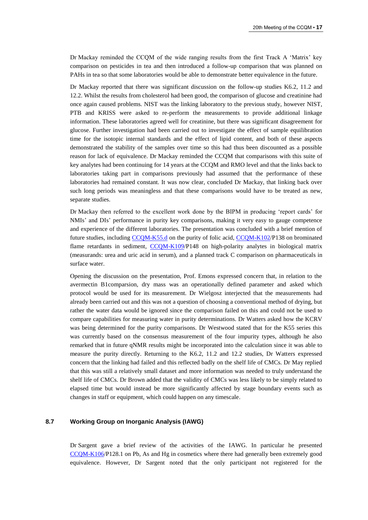Dr Mackay reminded the CCQM of the wide ranging results from the first Track A 'Matrix' key comparison on pesticides in tea and then introduced a follow-up comparison that was planned on PAHs in tea so that some laboratories would be able to demonstrate better equivalence in the future.

Dr Mackay reported that there was significant discussion on the follow-up studies K6.2, 11.2 and 12.2. Whilst the results from cholesterol had been good, the comparison of glucose and creatinine had once again caused problems. NIST was the linking laboratory to the previous study, however NIST, PTB and KRISS were asked to re-perform the measurements to provide additional linkage information. These laboratories agreed well for creatinine, but there was significant disagreement for glucose. Further investigation had been carried out to investigate the effect of sample equilibration time for the isotopic internal standards and the effect of lipid content, and both of these aspects demonstrated the stability of the samples over time so this had thus been discounted as a possible reason for lack of equivalence. Dr Mackay reminded the CCQM that comparisons with this suite of key analytes had been continuing for 14 years at the CCQM and RMO level and that the links back to laboratories taking part in comparisons previously had assumed that the performance of these laboratories had remained constant. It was now clear, concluded Dr Mackay, that linking back over such long periods was meaningless and that these comparisons would have to be treated as new, separate studies.

Dr Mackay then referred to the excellent work done by the BIPM in producing 'report cards' for NMIs' and DIs' performance in purity key comparisons, making it very easy to gauge competence and experience of the different laboratories. The presentation was concluded with a brief mention of future studies, including [CCQM-K55.d](http://kcdb.bipm.org/appendixB/KCDB_ApB_info.asp?cmp_idy=1359&cmp_cod=CCQM-K55.d&prov=exalead) on the purity of folic acid, [CCQM-K102/](http://kcdb.bipm.org/appendixB/KCDB_ApB_info.asp?cmp_idy=1235&cmp_cod=CCQM-K102&prov=exalead)P138 on brominated flame retardants in sediment, [CCQM-K109/](http://kcdb.bipm.org/appendixB/KCDB_ApB_info.asp?cmp_idy=1255&cmp_cod=CCQM-K109&prov=exalead)P148 on high-polarity analytes in biological matrix (measurands: urea and uric acid in serum), and a planned track C comparison on pharmaceuticals in surface water.

Opening the discussion on the presentation, Prof. Emons expressed concern that, in relation to the avermectin B1comparsion, dry mass was an operationally defined parameter and asked which protocol would be used for its measurement. Dr Wielgosz interjected that the measurements had already been carried out and this was not a question of choosing a conventional method of drying, but rather the water data would be ignored since the comparison failed on this and could not be used to compare capabilities for measuring water in purity determinations. Dr Watters asked how the KCRV was being determined for the purity comparisons. Dr Westwood stated that for the K55 series this was currently based on the consensus measurement of the four impurity types, although he also remarked that in future qNMR results might be incorporated into the calculation since it was able to measure the purity directly. Returning to the K6.2, 11.2 and 12.2 studies, Dr Watters expressed concern that the linking had failed and this reflected badly on the shelf life of CMCs. Dr May replied that this was still a relatively small dataset and more information was needed to truly understand the shelf life of CMCs. Dr Brown added that the validity of CMCs was less likely to be simply related to elapsed time but would instead be more significantly affected by stage boundary events such as changes in staff or equipment, which could happen on any timescale.

#### **8.7 Working Group on Inorganic Analysis (IAWG)**

Dr Sargent gave a brief review of the activities of the IAWG. In particular he presented [CCQM-K106/](http://kcdb.bipm.org/appendixB/KCDB_ApB_info.asp?cmp_idy=1252&cmp_cod=CCQM-K106&prov=exalead)P128.1 on Pb, As and Hg in cosmetics where there had generally been extremely good equivalence. However, Dr Sargent noted that the only participant not registered for the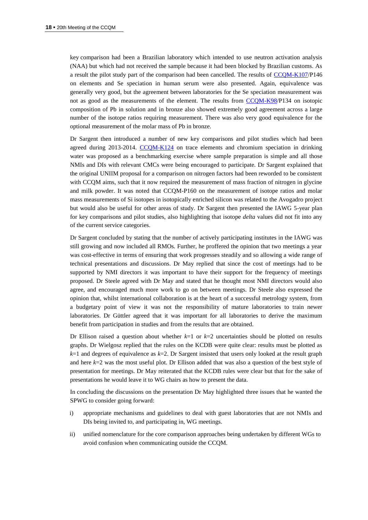key comparison had been a Brazilian laboratory which intended to use neutron activation analysis (NAA) but which had not received the sample because it had been blocked by Brazilian customs. As a result the pilot study part of the comparison had been cancelled. The results of [CCQM-K107/](http://kcdb.bipm.org/appendixB/KCDB_ApB_info.asp?cmp_idy=1253&cmp_cod=CCQM-K107&prov=exalead)P146 on elements and Se speciation in human serum were also presented. Again, equivalence was generally very good, but the agreement between laboratories for the Se speciation measurement was not as good as the measurements of the element. The results from [CCQM-K98/](http://kcdb.bipm.org/appendixB/KCDB_ApB_info.asp?cmp_idy=1150&cmp_cod=CCQM-K98&prov=exalead)P134 on isotopic composition of Pb in solution and in bronze also showed extremely good agreement across a large number of the isotope ratios requiring measurement. There was also very good equivalence for the optional measurement of the molar mass of Pb in bronze.

Dr Sargent then introduced a number of new key comparisons and pilot studies which had been agreed during 2013-2014. [CCQM-K124](http://kcdb.bipm.org/appendixB/KCDB_ApB_info.asp?cmp_idy=1368&cmp_cod=CCQM-K124&prov=exalead) on trace elements and chromium speciation in drinking water was proposed as a benchmarking exercise where sample preparation is simple and all those NMIs and DIs with relevant CMCs were being encouraged to participate. Dr Sargent explained that the original UNIIM proposal for a comparison on nitrogen factors had been reworded to be consistent with CCQM aims, such that it now required the measurement of mass fraction of nitrogen in glycine and milk powder. It was noted that CCQM-P160 on the measurement of isotope ratios and molar mass measurements of Si isotopes in isotopically enriched silicon was related to the Avogadro project but would also be useful for other areas of study. Dr Sargent then presented the IAWG 5-year plan for key comparisons and pilot studies, also highlighting that isotope *delta* values did not fit into any of the current service categories.

Dr Sargent concluded by stating that the number of actively participating institutes in the IAWG was still growing and now included all RMOs. Further, he proffered the opinion that two meetings a year was cost-effective in terms of ensuring that work progresses steadily and so allowing a wide range of technical presentations and discussions. Dr May replied that since the cost of meetings had to be supported by NMI directors it was important to have their support for the frequency of meetings proposed. Dr Steele agreed with Dr May and stated that he thought most NMI directors would also agree, and encouraged much more work to go on between meetings. Dr Steele also expressed the opinion that, whilst international collaboration is at the heart of a successful metrology system, from a budgetary point of view it was not the responsibility of mature laboratories to train newer laboratories. Dr Güttler agreed that it was important for all laboratories to derive the maximum benefit from participation in studies and from the results that are obtained.

Dr Ellison raised a question about whether  $k=1$  or  $k=2$  uncertainties should be plotted on results graphs. Dr Wielgosz replied that the rules on the KCDB were quite clear: results must be plotted as *k*=1 and degrees of equivalence as *k*=2. Dr Sargent insisted that users only looked at the result graph and here *k*=2 was the most useful plot. Dr Ellison added that was also a question of the best style of presentation for meetings. Dr May reiterated that the KCDB rules were clear but that for the sake of presentations he would leave it to WG chairs as how to present the data.

In concluding the discussions on the presentation Dr May highlighted three issues that he wanted the SPWG to consider going forward:

- i) appropriate mechanisms and guidelines to deal with guest laboratories that are not NMIs and DIs being invited to, and participating in, WG meetings.
- ii) unified nomenclature for the core comparison approaches being undertaken by different WGs to avoid confusion when communicating outside the CCQM.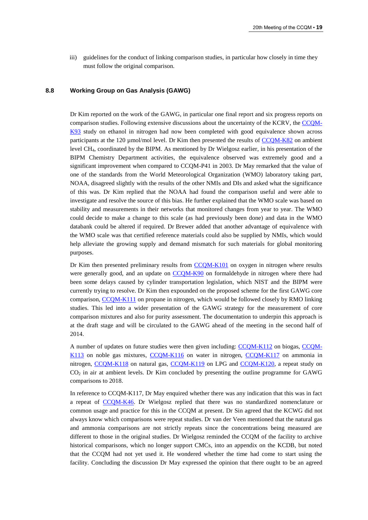iii) guidelines for the conduct of linking comparison studies, in particular how closely in time they must follow the original comparison.

#### **8.8 Working Group on Gas Analysis (GAWG)**

Dr Kim reported on the work of the GAWG, in particular one final report and six progress reports on comparison studies. Following extensive discussions about the uncertainty of the KCRV, the [CCQM-](http://kcdb.bipm.org/appendixB/KCDB_ApB_info.asp?cmp_idy=1145&cmp_cod=CCQM-K93&prov=exalead)[K93](http://kcdb.bipm.org/appendixB/KCDB_ApB_info.asp?cmp_idy=1145&cmp_cod=CCQM-K93&prov=exalead) study on ethanol in nitrogen had now been completed with good equivalence shown across participants at the 120 µmol/mol level. Dr Kim then presented the results of [CCQM-K82](http://kcdb.bipm.org/appendixB/KCDB_ApB_info.asp?cmp_idy=1062&cmp_cod=CCQM-K82&prov=exalead) on ambient level CH4, coordinated by the BIPM. As mentioned by Dr Wielgosz earlier, in his presentation of the BIPM Chemistry Department activities, the equivalence observed was extremely good and a significant improvement when compared to CCQM-P41 in 2003. Dr May remarked that the value of one of the standards from the World Meteorological Organization (WMO) laboratory taking part, NOAA, disagreed slightly with the results of the other NMIs and DIs and asked what the significance of this was. Dr Kim replied that the NOAA had found the comparison useful and were able to investigate and resolve the source of this bias. He further explained that the WMO scale was based on stability and measurements in their networks that monitored changes from year to year. The WMO could decide to make a change to this scale (as had previously been done) and data in the WMO databank could be altered if required. Dr Brewer added that another advantage of equivalence with the WMO scale was that certified reference materials could also be supplied by NMIs, which would help alleviate the growing supply and demand mismatch for such materials for global monitoring purposes.

Dr Kim then presented preliminary results from [CCQM-K101](http://kcdb.bipm.org/appendixB/KCDB_ApB_info.asp?cmp_idy=1168&cmp_cod=CCQM-K101&prov=exalead) on oxygen in nitrogen where results were generally good, and an update on [CCQM-K90](http://kcdb.bipm.org/appendixB/KCDB_ApB_info.asp?cmp_idy=1095&cmp_cod=CCQM-K90&prov=exalead) on formaldehyde in nitrogen where there had been some delays caused by cylinder transportation legislation, which NIST and the BIPM were currently trying to resolve. Dr Kim then expounded on the proposed scheme for the first GAWG core comparison, [CCQM-K111](http://kcdb.bipm.org/appendixB/KCDB_ApB_info.asp?cmp_idy=1335&cmp_cod=CCQM-K111&prov=exalead) on propane in nitrogen, which would be followed closely by RMO linking studies. This led into a wider presentation of the GAWG strategy for the measurement of core comparison mixtures and also for purity assessment. The documentation to underpin this approach is at the draft stage and will be circulated to the GAWG ahead of the meeting in the second half of 2014.

A number of updates on future studies were then given including: [CCQM-K112](http://kcdb.bipm.org/appendixB/KCDB_ApB_info.asp?cmp_idy=1336&cmp_cod=CCQM-K112&prov=exalead) on biogas, [CCQM-](http://kcdb.bipm.org/appendixB/KCDB_ApB_info.asp?cmp_idy=1337&cmp_cod=CCQM-K113&prov=exalead)[K113](http://kcdb.bipm.org/appendixB/KCDB_ApB_info.asp?cmp_idy=1337&cmp_cod=CCQM-K113&prov=exalead) on noble gas mixtures, [CCQM-K116](http://kcdb.bipm.org/appendixB/KCDB_ApB_info.asp?cmp_idy=1353&cmp_cod=CCQM-K116&prov=exalead) on water in nitrogen, [CCQM-K117](http://kcdb.bipm.org/appendixB/KCDB_ApB_info.asp?cmp_idy=1361&cmp_cod=CCQM-K117&prov=exalead) on ammonia in nitrogen, [CCQM-K118](http://kcdb.bipm.org/appendixB/KCDB_ApB_info.asp?cmp_idy=1362&cmp_cod=CCQM-K118&prov=exalead) on natural gas, [CCQM-K119](http://kcdb.bipm.org/appendixB/KCDB_ApB_info.asp?cmp_idy=1363&cmp_cod=CCQM-K119&prov=exalead) on LPG and [CCQM-K120,](http://kcdb.bipm.org/appendixB/KCDB_ApB_info.asp?cmp_idy=1364&cmp_cod=CCQM-K120&prov=exalead) a repeat study on  $CO<sub>2</sub>$  in air at ambient levels. Dr Kim concluded by presenting the outline programme for GAWG comparisons to 2018.

In reference to CCQM-K117, Dr May enquired whether there was any indication that this was in fact a repeat of [CCQM-K46.](http://kcdb.bipm.org/appendixB/KCDB_ApB_info.asp?cmp_idy=692&cmp_cod=CCQM-K46&prov=exalead) Dr Wielgosz replied that there was no standardized nomenclature or common usage and practice for this in the CCQM at present. Dr Sin agreed that the KCWG did not always know which comparisons were repeat studies. Dr van der Veen mentioned that the natural gas and ammonia comparisons are not strictly repeats since the concentrations being measured are different to those in the original studies. Dr Wielgosz reminded the CCQM of the facility to archive historical comparisons, which no longer support CMCs, into an appendix on the KCDB, but noted that the CCQM had not yet used it. He wondered whether the time had come to start using the facility. Concluding the discussion Dr May expressed the opinion that there ought to be an agreed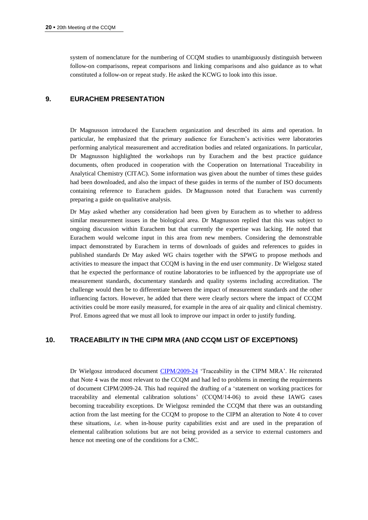system of nomenclature for the numbering of CCQM studies to unambiguously distinguish between follow-on comparisons, repeat comparisons and linking comparisons and also guidance as to what constituted a follow-on or repeat study. He asked the KCWG to look into this issue.

## **9. EURACHEM PRESENTATION**

Dr Magnusson introduced the Eurachem organization and described its aims and operation. In particular, he emphasized that the primary audience for Eurachem's activities were laboratories performing analytical measurement and accreditation bodies and related organizations. In particular, Dr Magnusson highlighted the workshops run by Eurachem and the best practice guidance documents, often produced in cooperation with the Cooperation on International Traceability in Analytical Chemistry (CITAC). Some information was given about the number of times these guides had been downloaded, and also the impact of these guides in terms of the number of ISO documents containing reference to Eurachem guides. Dr Magnusson noted that Eurachem was currently preparing a guide on qualitative analysis.

Dr May asked whether any consideration had been given by Eurachem as to whether to address similar measurement issues in the biological area. Dr Magnusson replied that this was subject to ongoing discussion within Eurachem but that currently the expertise was lacking. He noted that Eurachem would welcome input in this area from new members. Considering the demonstrable impact demonstrated by Eurachem in terms of downloads of guides and references to guides in published standards Dr May asked WG chairs together with the SPWG to propose methods and activities to measure the impact that CCQM is having in the end user community. Dr Wielgosz stated that he expected the performance of routine laboratories to be influenced by the appropriate use of measurement standards, documentary standards and quality systems including accreditation. The challenge would then be to differentiate between the impact of measurement standards and the other influencing factors. However, he added that there were clearly sectors where the impact of CCQM activities could be more easily measured, for example in the area of air quality and clinical chemistry. Prof. Emons agreed that we must all look to improve our impact in order to justify funding.

#### **10. TRACEABILITY IN THE CIPM MRA (AND CCQM LIST OF EXCEPTIONS)**

Dr Wielgosz introduced document [CIPM/2009-24](https://www.bipm.org/cc/CIPM/Allowed/98/CIPM2009_24_TRAC_MRA_REV_13_OCT_2009.pdf) 'Traceability in the CIPM MRA'. He reiterated that Note 4 was the most relevant to the CCQM and had led to problems in meeting the requirements of document CIPM/2009-24. This had required the drafting of a 'statement on working practices for traceability and elemental calibration solutions' (CCQM/14-06) to avoid these IAWG cases becoming traceability exceptions. Dr Wielgosz reminded the CCQM that there was an outstanding action from the last meeting for the CCQM to propose to the CIPM an alteration to Note 4 to cover these situations, *i.e.* when in-house purity capabilities exist and are used in the preparation of elemental calibration solutions but are not being provided as a service to external customers and hence not meeting one of the conditions for a CMC.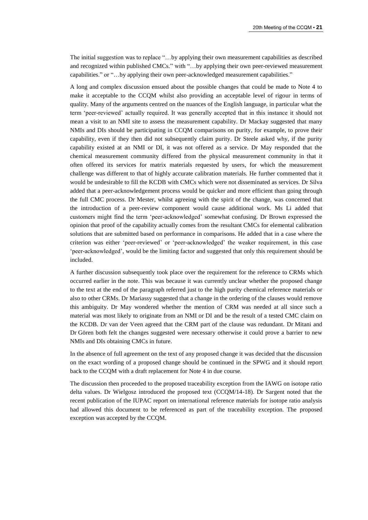The initial suggestion was to replace "…by applying their own measurement capabilities as described and recognized within published CMCs." with "…by applying their own peer-reviewed measurement capabilities." or "…by applying their own peer-acknowledged measurement capabilities."

A long and complex discussion ensued about the possible changes that could be made to Note 4 to make it acceptable to the CCQM whilst also providing an acceptable level of rigour in terms of quality. Many of the arguments centred on the nuances of the English language, in particular what the term 'peer-reviewed' actually required. It was generally accepted that in this instance it should not mean a visit to an NMI site to assess the measurement capability. Dr Mackay suggested that many NMIs and DIs should be participating in CCQM comparisons on purity, for example, to prove their capability, even if they then did not subsequently claim purity. Dr Steele asked why, if the purity capability existed at an NMI or DI, it was not offered as a service. Dr May responded that the chemical measurement community differed from the physical measurement community in that it often offered its services for matrix materials requested by users, for which the measurement challenge was different to that of highly accurate calibration materials. He further commented that it would be undesirable to fill the KCDB with CMCs which were not disseminated as services. Dr Silva added that a peer-acknowledgement process would be quicker and more efficient than going through the full CMC process. Dr Mester, whilst agreeing with the spirit of the change, was concerned that the introduction of a peer-review component would cause additional work. Ms Li added that customers might find the term 'peer-acknowledged' somewhat confusing. Dr Brown expressed the opinion that proof of the capability actually comes from the resultant CMCs for elemental calibration solutions that are submitted based on performance in comparisons. He added that in a case where the criterion was either 'peer-reviewed' or 'peer-acknowledged' the weaker requirement, in this case 'peer-acknowledged', would be the limiting factor and suggested that only this requirement should be included.

A further discussion subsequently took place over the requirement for the reference to CRMs which occurred earlier in the note. This was because it was currently unclear whether the proposed change to the text at the end of the paragraph referred just to the high purity chemical reference materials or also to other CRMs. Dr Mariassy suggested that a change in the ordering of the clauses would remove this ambiguity. Dr May wondered whether the mention of CRM was needed at all since such a material was most likely to originate from an NMI or DI and be the result of a tested CMC claim on the KCDB. Dr van der Veen agreed that the CRM part of the clause was redundant. Dr Mitani and Dr Gören both felt the changes suggested were necessary otherwise it could prove a barrier to new NMIs and DIs obtaining CMCs in future.

In the absence of full agreement on the text of any proposed change it was decided that the discussion on the exact wording of a proposed change should be continued in the SPWG and it should report back to the CCQM with a draft replacement for Note 4 in due course.

The discussion then proceeded to the proposed traceability exception from the IAWG on isotope ratio delta values. Dr Wielgosz introduced the proposed text (CCQM/14-18). Dr Sargent noted that the recent publication of the IUPAC report on international reference materials for isotope ratio analysis had allowed this document to be referenced as part of the traceability exception. The proposed exception was accepted by the CCQM.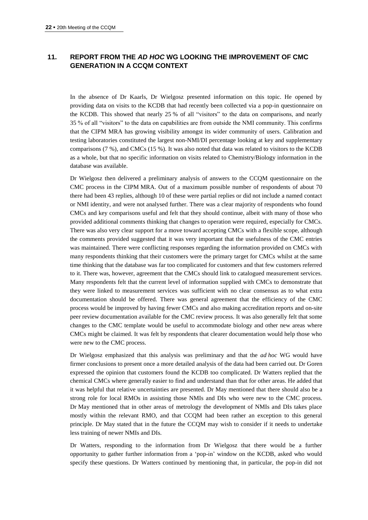# **11. REPORT FROM THE** *AD HOC* **WG LOOKING THE IMPROVEMENT OF CMC GENERATION IN A CCQM CONTEXT**

In the absence of Dr Kaarls, Dr Wielgosz presented information on this topic. He opened by providing data on visits to the KCDB that had recently been collected via a pop-in questionnaire on the KCDB. This showed that nearly 25 % of all "visitors" to the data on comparisons, and nearly 35 % of all "visitors" to the data on capabilities are from outside the NMI community. This confirms that the CIPM MRA has growing visibility amongst its wider community of users. Calibration and testing laboratories constituted the largest non-NMI/DI percentage looking at key and supplementary comparisons (7 %), and CMCs (15 %). It was also noted that data was related to visitors to the KCDB as a whole, but that no specific information on visits related to Chemistry/Biology information in the database was available.

Dr Wielgosz then delivered a preliminary analysis of answers to the CCQM questionnaire on the CMC process in the CIPM MRA. Out of a maximum possible number of respondents of about 70 there had been 43 replies, although 10 of these were partial replies or did not include a named contact or NMI identity, and were not analysed further. There was a clear majority of respondents who found CMCs and key comparisons useful and felt that they should continue, albeit with many of those who provided additional comments thinking that changes to operation were required, especially for CMCs. There was also very clear support for a move toward accepting CMCs with a flexible scope, although the comments provided suggested that it was very important that the usefulness of the CMC entries was maintained. There were conflicting responses regarding the information provided on CMCs with many respondents thinking that their customers were the primary target for CMCs whilst at the same time thinking that the database was far too complicated for customers and that few customers referred to it. There was, however, agreement that the CMCs should link to catalogued measurement services. Many respondents felt that the current level of information supplied with CMCs to demonstrate that they were linked to measurement services was sufficient with no clear consensus as to what extra documentation should be offered. There was general agreement that the efficiency of the CMC process would be improved by having fewer CMCs and also making accreditation reports and on-site peer review documentation available for the CMC review process. It was also generally felt that some changes to the CMC template would be useful to accommodate biology and other new areas where CMCs might be claimed. It was felt by respondents that clearer documentation would help those who were new to the CMC process.

Dr Wielgosz emphasized that this analysis was preliminary and that the *ad hoc* WG would have firmer conclusions to present once a more detailed analysis of the data had been carried out. Dr Goren expressed the opinion that customers found the KCDB too complicated. Dr Watters replied that the chemical CMCs where generally easier to find and understand than that for other areas. He added that it was helpful that relative uncertainties are presented. Dr May mentioned that there should also be a strong role for local RMOs in assisting those NMIs and DIs who were new to the CMC process. Dr May mentioned that in other areas of metrology the development of NMIs and DIs takes place mostly within the relevant RMO, and that CCQM had been rather an exception to this general principle. Dr May stated that in the future the CCQM may wish to consider if it needs to undertake less training of newer NMIs and DIs.

Dr Watters, responding to the information from Dr Wielgosz that there would be a further opportunity to gather further information from a 'pop-in' window on the KCDB, asked who would specify these questions. Dr Watters continued by mentioning that, in particular, the pop-in did not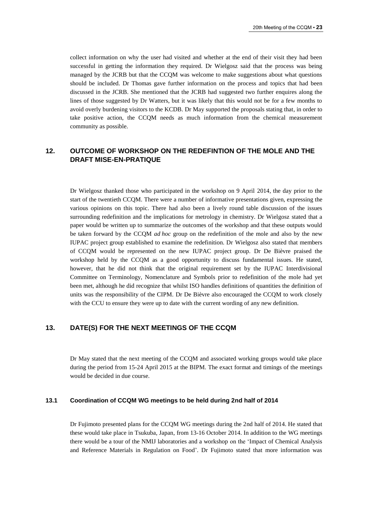collect information on why the user had visited and whether at the end of their visit they had been successful in getting the information they required. Dr Wielgosz said that the process was being managed by the JCRB but that the CCQM was welcome to make suggestions about what questions should be included. Dr Thomas gave further information on the process and topics that had been discussed in the JCRB. She mentioned that the JCRB had suggested two further enquires along the lines of those suggested by Dr Watters, but it was likely that this would not be for a few months to avoid overly burdening visitors to the KCDB. Dr May supported the proposals stating that, in order to take positive action, the CCQM needs as much information from the chemical measurement community as possible.

## **12. OUTCOME OF WORKSHOP ON THE REDEFINTION OF THE MOLE AND THE DRAFT MISE-EN-PRATIQUE**

Dr Wielgosz thanked those who participated in the workshop on 9 April 2014, the day prior to the start of the twentieth CCQM. There were a number of informative presentations given, expressing the various opinions on this topic. There had also been a lively round table discussion of the issues surrounding redefinition and the implications for metrology in chemistry. Dr Wielgosz stated that a paper would be written up to summarize the outcomes of the workshop and that these outputs would be taken forward by the CCQM *ad hoc* group on the redefinition of the mole and also by the new IUPAC project group established to examine the redefinition. Dr Wielgosz also stated that members of CCQM would be represented on the new IUPAC project group. Dr De Bièvre praised the workshop held by the CCQM as a good opportunity to discuss fundamental issues. He stated, however, that he did not think that the original requirement set by the IUPAC Interdivisional Committee on Terminology, Nomenclature and Symbols prior to redefinition of the mole had yet been met, although he did recognize that whilst ISO handles definitions of quantities the definition of units was the responsibility of the CIPM. Dr De Bièvre also encouraged the CCQM to work closely with the CCU to ensure they were up to date with the current wording of any new definition.

## **13. DATE(S) FOR THE NEXT MEETINGS OF THE CCQM**

Dr May stated that the next meeting of the CCQM and associated working groups would take place during the period from 15-24 April 2015 at the BIPM. The exact format and timings of the meetings would be decided in due course.

#### **13.1 Coordination of CCQM WG meetings to be held during 2nd half of 2014**

Dr Fujimoto presented plans for the CCQM WG meetings during the 2nd half of 2014. He stated that these would take place in Tsukuba, Japan, from 13-16 October 2014. In addition to the WG meetings there would be a tour of the NMIJ laboratories and a workshop on the 'Impact of Chemical Analysis and Reference Materials in Regulation on Food'. Dr Fujimoto stated that more information was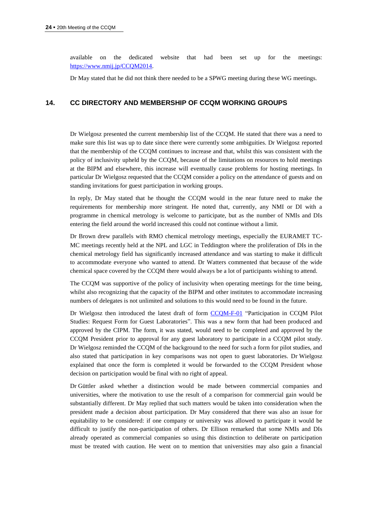available on the dedicated website that had been set up for the meetings: [https://www.nmij.jp/CCQM2014.](https://www.nmij.jp/CCQM2014)

Dr May stated that he did not think there needed to be a SPWG meeting during these WG meetings.

### **14. CC DIRECTORY AND MEMBERSHIP OF CCQM WORKING GROUPS**

Dr Wielgosz presented the current membership list of the CCQM. He stated that there was a need to make sure this list was up to date since there were currently some ambiguities. Dr Wielgosz reported that the membership of the CCQM continues to increase and that, whilst this was consistent with the policy of inclusivity upheld by the CCQM, because of the limitations on resources to hold meetings at the BIPM and elsewhere, this increase will eventually cause problems for hosting meetings. In particular Dr Wielgosz requested that the CCQM consider a policy on the attendance of guests and on standing invitations for guest participation in working groups.

In reply, Dr May stated that he thought the CCQM would in the near future need to make the requirements for membership more stringent. He noted that, currently, any NMI or DI with a programme in chemical metrology is welcome to participate, but as the number of NMIs and DIs entering the field around the world increased this could not continue without a limit.

Dr Brown drew parallels with RMO chemical metrology meetings, especially the EURAMET TC-MC meetings recently held at the NPL and LGC in Teddington where the proliferation of DIs in the chemical metrology field has significantly increased attendance and was starting to make it difficult to accommodate everyone who wanted to attend. Dr Watters commented that because of the wide chemical space covered by the CCQM there would always be a lot of participants wishing to attend.

The CCQM was supportive of the policy of inclusivity when operating meetings for the time being, whilst also recognizing that the capacity of the BIPM and other institutes to accommodate increasing numbers of delegates is not unlimited and solutions to this would need to be found in the future.

Dr Wielgosz then introduced the latest draft of form [CCQM-F-01](https://www.bipm.org/utils/en/pdf/guest_laboratories_request_form.pdf) "Participation in CCQM Pilot Studies: Request Form for Guest Laboratories". This was a new form that had been produced and approved by the CIPM. The form, it was stated, would need to be completed and approved by the CCQM President prior to approval for any guest laboratory to participate in a CCQM pilot study. Dr Wielgosz reminded the CCQM of the background to the need for such a form for pilot studies, and also stated that participation in key comparisons was not open to guest laboratories. Dr Wielgosz explained that once the form is completed it would be forwarded to the CCQM President whose decision on participation would be final with no right of appeal.

Dr Güttler asked whether a distinction would be made between commercial companies and universities, where the motivation to use the result of a comparison for commercial gain would be substantially different. Dr May replied that such matters would be taken into consideration when the president made a decision about participation. Dr May considered that there was also an issue for equitability to be considered: if one company or university was allowed to participate it would be difficult to justify the non-participation of others. Dr Ellison remarked that some NMIs and DIs already operated as commercial companies so using this distinction to deliberate on participation must be treated with caution. He went on to mention that universities may also gain a financial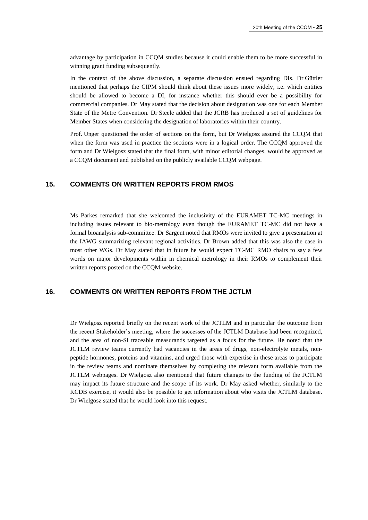advantage by participation in CCQM studies because it could enable them to be more successful in winning grant funding subsequently.

In the context of the above discussion, a separate discussion ensued regarding DIs. Dr Güttler mentioned that perhaps the CIPM should think about these issues more widely, i.e. which entities should be allowed to become a DI, for instance whether this should ever be a possibility for commercial companies. Dr May stated that the decision about designation was one for each Member State of the Metre Convention. Dr Steele added that the JCRB has produced a set of guidelines for Member States when considering the designation of laboratories within their country.

Prof. Unger questioned the order of sections on the form, but Dr Wielgosz assured the CCQM that when the form was used in practice the sections were in a logical order. The CCQM approved the form and Dr Wielgosz stated that the final form, with minor editorial changes, would be approved as a CCQM document and published on the publicly available CCQM webpage.

## **15. COMMENTS ON WRITTEN REPORTS FROM RMOS**

Ms Parkes remarked that she welcomed the inclusivity of the EURAMET TC-MC meetings in including issues relevant to bio-metrology even though the EURAMET TC-MC did not have a formal bioanalysis sub-committee. Dr Sargent noted that RMOs were invited to give a presentation at the IAWG summarizing relevant regional activities. Dr Brown added that this was also the case in most other WGs. Dr May stated that in future he would expect TC-MC RMO chairs to say a few words on major developments within in chemical metrology in their RMOs to complement their written reports posted on the CCQM website.

#### **16. COMMENTS ON WRITTEN REPORTS FROM THE JCTLM**

Dr Wielgosz reported briefly on the recent work of the JCTLM and in particular the outcome from the recent Stakeholder's meeting, where the successes of the JCTLM Database had been recognized, and the area of non-SI traceable measurands targeted as a focus for the future. He noted that the JCTLM review teams currently had vacancies in the areas of drugs, non-electrolyte metals, nonpeptide hormones, proteins and vitamins, and urged those with expertise in these areas to participate in the review teams and nominate themselves by completing the relevant form available from the JCTLM webpages. Dr Wielgosz also mentioned that future changes to the funding of the JCTLM may impact its future structure and the scope of its work. Dr May asked whether, similarly to the KCDB exercise, it would also be possible to get information about who visits the JCTLM database. Dr Wielgosz stated that he would look into this request.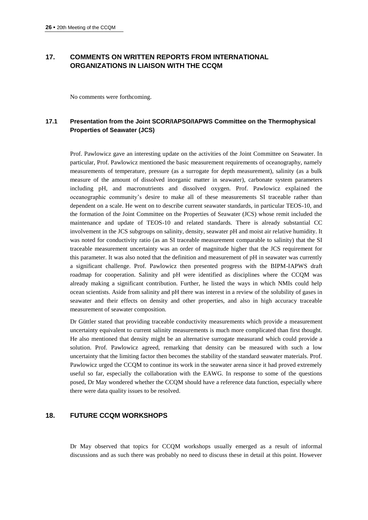# **17. COMMENTS ON WRITTEN REPORTS FROM INTERNATIONAL ORGANIZATIONS IN LIAISON WITH THE CCQM**

No comments were forthcoming.

# **17.1 Presentation from the Joint SCOR/IAPSO/IAPWS Committee on the Thermophysical Properties of Seawater (JCS)**

Prof. Pawlowicz gave an interesting update on the activities of the Joint Committee on Seawater. In particular, Prof. Pawlowicz mentioned the basic measurement requirements of oceanography, namely measurements of temperature, pressure (as a surrogate for depth measurement), salinity (as a bulk measure of the amount of dissolved inorganic matter in seawater), carbonate system parameters including pH, and macronutrients and dissolved oxygen. Prof. Pawlowicz explained the oceanographic community's desire to make all of these measurements SI traceable rather than dependent on a scale. He went on to describe current seawater standards, in particular TEOS-10, and the formation of the Joint Committee on the Properties of Seawater (JCS) whose remit included the maintenance and update of TEOS-10 and related standards. There is already substantial CC involvement in the JCS subgroups on salinity, density, seawater pH and moist air relative humidity. It was noted for conductivity ratio (as an SI traceable measurement comparable to salinity) that the SI traceable measurement uncertainty was an order of magnitude higher that the JCS requirement for this parameter. It was also noted that the definition and measurement of pH in seawater was currently a significant challenge. Prof. Pawlowicz then presented progress with the BIPM-IAPWS draft roadmap for cooperation. Salinity and pH were identified as disciplines where the CCQM was already making a significant contribution. Further, he listed the ways in which NMIs could help ocean scientists. Aside from salinity and pH there was interest in a review of the solubility of gases in seawater and their effects on density and other properties, and also in high accuracy traceable measurement of seawater composition.

Dr Güttler stated that providing traceable conductivity measurements which provide a measurement uncertainty equivalent to current salinity measurements is much more complicated than first thought. He also mentioned that density might be an alternative surrogate measurand which could provide a solution. Prof. Pawlowicz agreed, remarking that density can be measured with such a low uncertainty that the limiting factor then becomes the stability of the standard seawater materials. Prof. Pawlowicz urged the CCQM to continue its work in the seawater arena since it had proved extremely useful so far, especially the collaboration with the EAWG. In response to some of the questions posed, Dr May wondered whether the CCQM should have a reference data function, especially where there were data quality issues to be resolved.

## **18. FUTURE CCQM WORKSHOPS**

Dr May observed that topics for CCQM workshops usually emerged as a result of informal discussions and as such there was probably no need to discuss these in detail at this point. However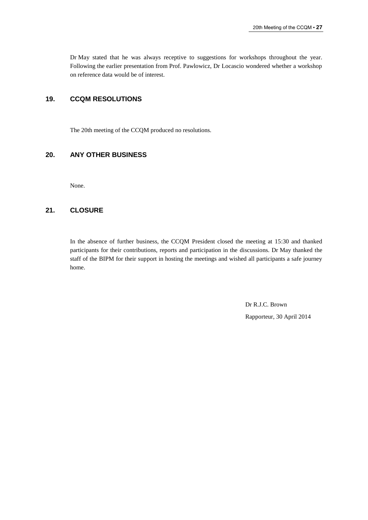Dr May stated that he was always receptive to suggestions for workshops throughout the year. Following the earlier presentation from Prof. Pawlowicz, Dr Locascio wondered whether a workshop on reference data would be of interest.

# **19. CCQM RESOLUTIONS**

The 20th meeting of the CCQM produced no resolutions.

## **20. ANY OTHER BUSINESS**

None.

## **21. CLOSURE**

In the absence of further business, the CCQM President closed the meeting at 15:30 and thanked participants for their contributions, reports and participation in the discussions. Dr May thanked the staff of the BIPM for their support in hosting the meetings and wished all participants a safe journey home.

> Dr R.J.C. Brown Rapporteur, 30 April 2014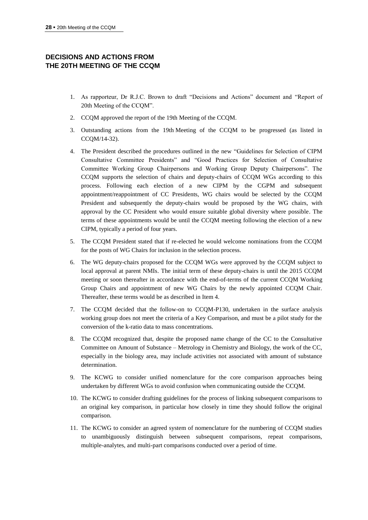# **DECISIONS AND ACTIONS FROM THE 20TH MEETING OF THE CCQM**

- 1. As rapporteur, Dr R.J.C. Brown to draft "Decisions and Actions" document and "Report of 20th Meeting of the CCQM".
- 2. CCQM approved the report of the 19th Meeting of the CCQM.
- 3. Outstanding actions from the 19th Meeting of the CCQM to be progressed (as listed in CCQM/14-32).
- 4. The President described the procedures outlined in the new "Guidelines for Selection of CIPM Consultative Committee Presidents" and "Good Practices for Selection of Consultative Committee Working Group Chairpersons and Working Group Deputy Chairpersons". The CCQM supports the selection of chairs and deputy-chairs of CCQM WGs according to this process. Following each election of a new CIPM by the CGPM and subsequent appointment/reappointment of CC Presidents, WG chairs would be selected by the CCQM President and subsequently the deputy-chairs would be proposed by the WG chairs, with approval by the CC President who would ensure suitable global diversity where possible. The terms of these appointments would be until the CCQM meeting following the election of a new CIPM, typically a period of four years.
- 5. The CCQM President stated that if re-elected he would welcome nominations from the CCQM for the posts of WG Chairs for inclusion in the selection process.
- 6. The WG deputy-chairs proposed for the CCQM WGs were approved by the CCQM subject to local approval at parent NMIs. The initial term of these deputy-chairs is until the 2015 CCQM meeting or soon thereafter in accordance with the end-of-terms of the current CCQM Working Group Chairs and appointment of new WG Chairs by the newly appointed CCQM Chair. Thereafter, these terms would be as described in Item 4.
- 7. The CCQM decided that the follow-on to CCQM-P130, undertaken in the surface analysis working group does not meet the criteria of a Key Comparison, and must be a pilot study for the conversion of the k-ratio data to mass concentrations.
- 8. The CCQM recognized that, despite the proposed name change of the CC to the Consultative Committee on Amount of Substance – Metrology in Chemistry and Biology, the work of the CC, especially in the biology area, may include activities not associated with amount of substance determination.
- 9. The KCWG to consider unified nomenclature for the core comparison approaches being undertaken by different WGs to avoid confusion when communicating outside the CCQM.
- 10. The KCWG to consider drafting guidelines for the process of linking subsequent comparisons to an original key comparison, in particular how closely in time they should follow the original comparison.
- 11. The KCWG to consider an agreed system of nomenclature for the numbering of CCQM studies to unambiguously distinguish between subsequent comparisons, repeat comparisons, multiple-analytes, and multi-part comparisons conducted over a period of time.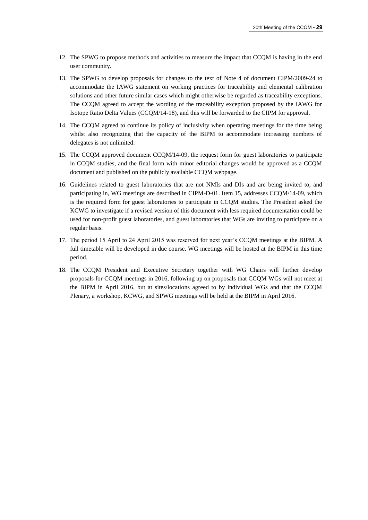- 12. The SPWG to propose methods and activities to measure the impact that CCQM is having in the end user community.
- 13. The SPWG to develop proposals for changes to the text of Note 4 of document CIPM/2009-24 to accommodate the IAWG statement on working practices for traceability and elemental calibration solutions and other future similar cases which might otherwise be regarded as traceability exceptions. The CCQM agreed to accept the wording of the traceability exception proposed by the IAWG for Isotope Ratio Delta Values (CCQM/14-18), and this will be forwarded to the CIPM for approval.
- 14. The CCQM agreed to continue its policy of inclusivity when operating meetings for the time being whilst also recognizing that the capacity of the BIPM to accommodate increasing numbers of delegates is not unlimited.
- 15. The CCQM approved document CCQM/14-09, the request form for guest laboratories to participate in CCQM studies, and the final form with minor editorial changes would be approved as a CCQM document and published on the publicly available CCQM webpage.
- 16. Guidelines related to guest laboratories that are not NMIs and DIs and are being invited to, and participating in, WG meetings are described in CIPM-D-01. Item 15, addresses CCQM/14-09, which is the required form for guest laboratories to participate in CCQM studies. The President asked the KCWG to investigate if a revised version of this document with less required documentation could be used for non-profit guest laboratories, and guest laboratories that WGs are inviting to participate on a regular basis.
- 17. The period 15 April to 24 April 2015 was reserved for next year's CCQM meetings at the BIPM. A full timetable will be developed in due course. WG meetings will be hosted at the BIPM in this time period.
- 18. The CCQM President and Executive Secretary together with WG Chairs will further develop proposals for CCQM meetings in 2016, following up on proposals that CCQM WGs will not meet at the BIPM in April 2016, but at sites/locations agreed to by individual WGs and that the CCQM Plenary, a workshop, KCWG, and SPWG meetings will be held at the BIPM in April 2016.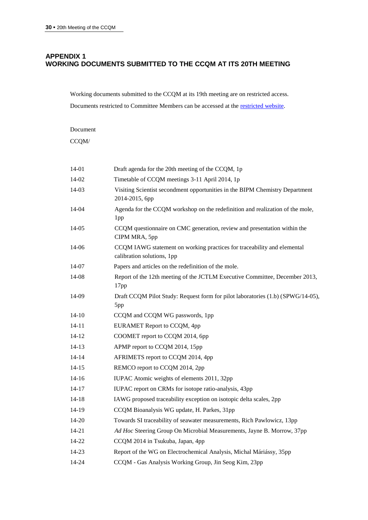# **APPENDIX 1 WORKING DOCUMENTS SUBMITTED TO THE CCQM AT ITS 20TH MEETING**

Working documents submitted to the CCQM at its 19th meeting are on restricted access.

Documents restricted to Committee Members can be accessed at the [restricted website.](https://www.bipm.org/en/committees/cc/ccqm/)

Document

 $CCQM/$ 

| 14-01     | Draft agenda for the 20th meeting of the CCQM, 1p                                                     |
|-----------|-------------------------------------------------------------------------------------------------------|
| 14-02     | Timetable of CCQM meetings 3-11 April 2014, 1p                                                        |
| 14-03     | Visiting Scientist secondment opportunities in the BIPM Chemistry Department<br>2014-2015, 6pp        |
| 14-04     | Agenda for the CCQM workshop on the redefinition and realization of the mole,<br>1pp                  |
| 14-05     | CCQM questionnaire on CMC generation, review and presentation within the<br>CIPM MRA, 5pp             |
| 14-06     | CCQM IAWG statement on working practices for traceability and elemental<br>calibration solutions, 1pp |
| 14-07     | Papers and articles on the redefinition of the mole.                                                  |
| 14-08     | Report of the 12th meeting of the JCTLM Executive Committee, December 2013,<br>17pp                   |
| 14-09     | Draft CCQM Pilot Study: Request form for pilot laboratories (1.b) (SPWG/14-05),<br>5pp                |
| $14-10$   | CCQM and CCQM WG passwords, 1pp                                                                       |
| $14 - 11$ | EURAMET Report to CCQM, 4pp                                                                           |
| $14 - 12$ | COOMET report to CCQM 2014, 6pp                                                                       |
| 14-13     | APMP report to CCQM 2014, 15pp                                                                        |
| $14 - 14$ | AFRIMETS report to CCQM 2014, 4pp                                                                     |
| 14-15     | REMCO report to CCQM 2014, 2pp                                                                        |
| $14 - 16$ | IUPAC Atomic weights of elements 2011, 32pp                                                           |
| $14 - 17$ | IUPAC report on CRMs for isotope ratio-analysis, 43pp                                                 |
| 14-18     | IAWG proposed traceability exception on isotopic delta scales, 2pp                                    |
| 14-19     | CCQM Bioanalysis WG update, H. Parkes, 31pp                                                           |
| 14-20     | Towards SI traceability of seawater measurements, Rich Pawlowicz, 13pp                                |
| 14-21     | Ad Hoc Steering Group On Microbial Measurements, Jayne B. Morrow, 37pp                                |
| 14-22     | CCQM 2014 in Tsukuba, Japan, 4pp                                                                      |
| 14-23     | Report of the WG on Electrochemical Analysis, Michal Máriássy, 35pp                                   |
| 14-24     | CCQM - Gas Analysis Working Group, Jin Seog Kim, 23pp                                                 |